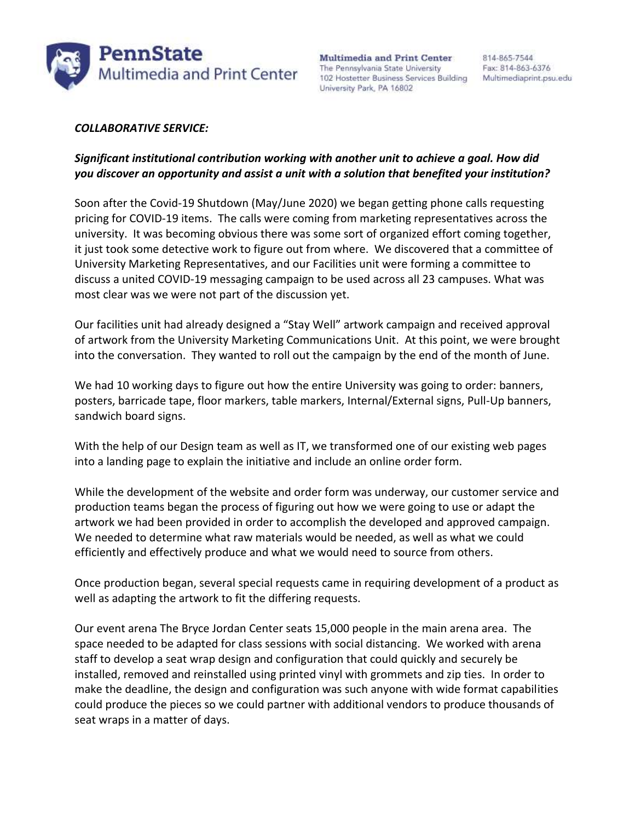

**Multimedia and Print Center** The Pennsylvania State University 102 Hostetter Business Services Building Multimediaprint.psu.edu University Park, PA 16802

## *COLLABORATIVE SERVICE:*

## *Significant institutional contribution working with another unit to achieve a goal. How did you discover an opportunity and assist a unit with a solution that benefited your institution?*

Soon after the Covid-19 Shutdown (May/June 2020) we began getting phone calls requesting pricing for COVID-19 items. The calls were coming from marketing representatives across the university. It was becoming obvious there was some sort of organized effort coming together, it just took some detective work to figure out from where. We discovered that a committee of University Marketing Representatives, and our Facilities unit were forming a committee to discuss a united COVID-19 messaging campaign to be used across all 23 campuses. What was most clear was we were not part of the discussion yet.

Our facilities unit had already designed a "Stay Well" artwork campaign and received approval of artwork from the University Marketing Communications Unit. At this point, we were brought into the conversation. They wanted to roll out the campaign by the end of the month of June.

We had 10 working days to figure out how the entire University was going to order: banners, posters, barricade tape, floor markers, table markers, Internal/External signs, Pull-Up banners, sandwich board signs.

With the help of our Design team as well as IT, we transformed one of our existing web pages into a landing page to explain the initiative and include an online order form.

While the development of the website and order form was underway, our customer service and production teams began the process of figuring out how we were going to use or adapt the artwork we had been provided in order to accomplish the developed and approved campaign. We needed to determine what raw materials would be needed, as well as what we could efficiently and effectively produce and what we would need to source from others.

Once production began, several special requests came in requiring development of a product as well as adapting the artwork to fit the differing requests.

Our event arena The Bryce Jordan Center seats 15,000 people in the main arena area. The space needed to be adapted for class sessions with social distancing. We worked with arena staff to develop a seat wrap design and configuration that could quickly and securely be installed, removed and reinstalled using printed vinyl with grommets and zip ties. In order to make the deadline, the design and configuration was such anyone with wide format capabilities could produce the pieces so we could partner with additional vendors to produce thousands of seat wraps in a matter of days.